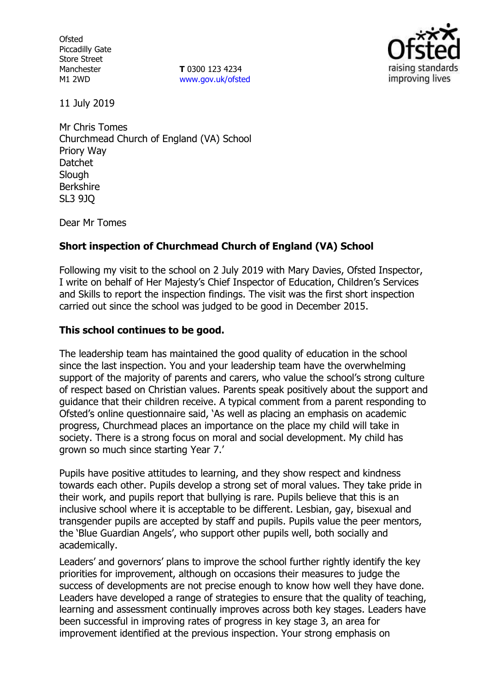**Ofsted** Piccadilly Gate Store Street Manchester M1 2WD

**T** 0300 123 4234 www.gov.uk/ofsted



11 July 2019

Mr Chris Tomes Churchmead Church of England (VA) School Priory Way Datchet **Slough** Berkshire SL3 9JQ

Dear Mr Tomes

# **Short inspection of Churchmead Church of England (VA) School**

Following my visit to the school on 2 July 2019 with Mary Davies, Ofsted Inspector, I write on behalf of Her Majesty's Chief Inspector of Education, Children's Services and Skills to report the inspection findings. The visit was the first short inspection carried out since the school was judged to be good in December 2015.

## **This school continues to be good.**

The leadership team has maintained the good quality of education in the school since the last inspection. You and your leadership team have the overwhelming support of the majority of parents and carers, who value the school's strong culture of respect based on Christian values. Parents speak positively about the support and guidance that their children receive. A typical comment from a parent responding to Ofsted's online questionnaire said, 'As well as placing an emphasis on academic progress, Churchmead places an importance on the place my child will take in society. There is a strong focus on moral and social development. My child has grown so much since starting Year 7.'

Pupils have positive attitudes to learning, and they show respect and kindness towards each other. Pupils develop a strong set of moral values. They take pride in their work, and pupils report that bullying is rare. Pupils believe that this is an inclusive school where it is acceptable to be different. Lesbian, gay, bisexual and transgender pupils are accepted by staff and pupils. Pupils value the peer mentors, the 'Blue Guardian Angels', who support other pupils well, both socially and academically.

Leaders' and governors' plans to improve the school further rightly identify the key priorities for improvement, although on occasions their measures to judge the success of developments are not precise enough to know how well they have done. Leaders have developed a range of strategies to ensure that the quality of teaching, learning and assessment continually improves across both key stages. Leaders have been successful in improving rates of progress in key stage 3, an area for improvement identified at the previous inspection. Your strong emphasis on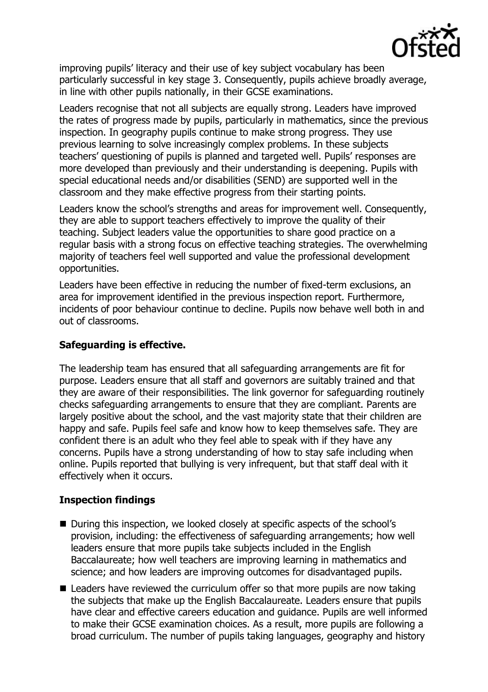

improving pupils' literacy and their use of key subject vocabulary has been particularly successful in key stage 3. Consequently, pupils achieve broadly average, in line with other pupils nationally, in their GCSE examinations.

Leaders recognise that not all subjects are equally strong. Leaders have improved the rates of progress made by pupils, particularly in mathematics, since the previous inspection. In geography pupils continue to make strong progress. They use previous learning to solve increasingly complex problems. In these subjects teachers' questioning of pupils is planned and targeted well. Pupils' responses are more developed than previously and their understanding is deepening. Pupils with special educational needs and/or disabilities (SEND) are supported well in the classroom and they make effective progress from their starting points.

Leaders know the school's strengths and areas for improvement well. Consequently, they are able to support teachers effectively to improve the quality of their teaching. Subject leaders value the opportunities to share good practice on a regular basis with a strong focus on effective teaching strategies. The overwhelming majority of teachers feel well supported and value the professional development opportunities.

Leaders have been effective in reducing the number of fixed-term exclusions, an area for improvement identified in the previous inspection report. Furthermore, incidents of poor behaviour continue to decline. Pupils now behave well both in and out of classrooms.

## **Safeguarding is effective.**

The leadership team has ensured that all safeguarding arrangements are fit for purpose. Leaders ensure that all staff and governors are suitably trained and that they are aware of their responsibilities. The link governor for safeguarding routinely checks safeguarding arrangements to ensure that they are compliant. Parents are largely positive about the school, and the vast majority state that their children are happy and safe. Pupils feel safe and know how to keep themselves safe. They are confident there is an adult who they feel able to speak with if they have any concerns. Pupils have a strong understanding of how to stay safe including when online. Pupils reported that bullying is very infrequent, but that staff deal with it effectively when it occurs.

### **Inspection findings**

- During this inspection, we looked closely at specific aspects of the school's provision, including: the effectiveness of safeguarding arrangements; how well leaders ensure that more pupils take subjects included in the English Baccalaureate; how well teachers are improving learning in mathematics and science; and how leaders are improving outcomes for disadvantaged pupils.
- $\blacksquare$  Leaders have reviewed the curriculum offer so that more pupils are now taking the subjects that make up the English Baccalaureate. Leaders ensure that pupils have clear and effective careers education and guidance. Pupils are well informed to make their GCSE examination choices. As a result, more pupils are following a broad curriculum. The number of pupils taking languages, geography and history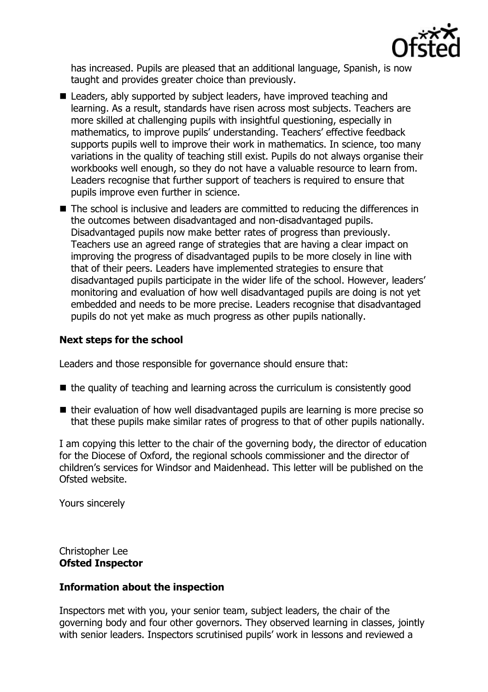

has increased. Pupils are pleased that an additional language, Spanish, is now taught and provides greater choice than previously.

- Leaders, ably supported by subject leaders, have improved teaching and learning. As a result, standards have risen across most subjects. Teachers are more skilled at challenging pupils with insightful questioning, especially in mathematics, to improve pupils' understanding. Teachers' effective feedback supports pupils well to improve their work in mathematics. In science, too many variations in the quality of teaching still exist. Pupils do not always organise their workbooks well enough, so they do not have a valuable resource to learn from. Leaders recognise that further support of teachers is required to ensure that pupils improve even further in science.
- The school is inclusive and leaders are committed to reducing the differences in the outcomes between disadvantaged and non-disadvantaged pupils. Disadvantaged pupils now make better rates of progress than previously. Teachers use an agreed range of strategies that are having a clear impact on improving the progress of disadvantaged pupils to be more closely in line with that of their peers. Leaders have implemented strategies to ensure that disadvantaged pupils participate in the wider life of the school. However, leaders' monitoring and evaluation of how well disadvantaged pupils are doing is not yet embedded and needs to be more precise. Leaders recognise that disadvantaged pupils do not yet make as much progress as other pupils nationally.

### **Next steps for the school**

Leaders and those responsible for governance should ensure that:

- $\blacksquare$  the quality of teaching and learning across the curriculum is consistently good
- $\blacksquare$  their evaluation of how well disadvantaged pupils are learning is more precise so that these pupils make similar rates of progress to that of other pupils nationally.

I am copying this letter to the chair of the governing body, the director of education for the Diocese of Oxford, the regional schools commissioner and the director of children's services for Windsor and Maidenhead. This letter will be published on the Ofsted website.

Yours sincerely

Christopher Lee **Ofsted Inspector**

### **Information about the inspection**

Inspectors met with you, your senior team, subject leaders, the chair of the governing body and four other governors. They observed learning in classes, jointly with senior leaders. Inspectors scrutinised pupils' work in lessons and reviewed a